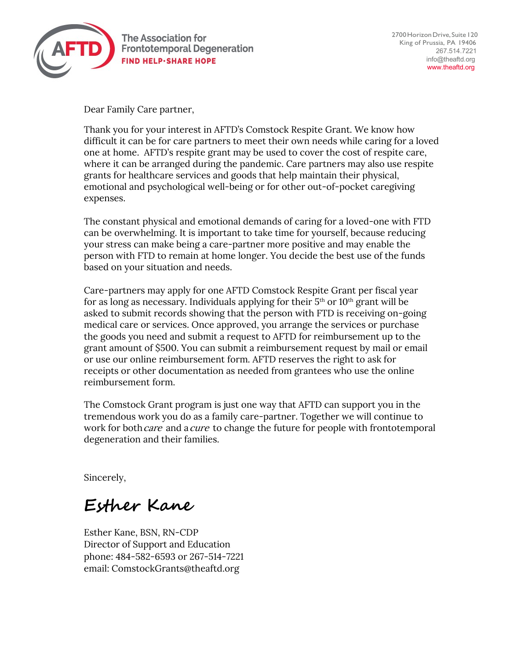

The Association for **Frontotemporal Degeneration FIND HELP-SHARE HOPE** 

Dear Family Care partner,

Thank you for your interest in AFTD's Comstock Respite Grant. We know how difficult it can be for care partners to meet their own needs while caring for a loved one at home. AFTD's respite grant may be used to cover the cost of respite care, where it can be arranged during the pandemic. Care partners may also use respite grants for healthcare services and goods that help maintain their physical, emotional and psychological well-being or for other out-of-pocket caregiving expenses.

The constant physical and emotional demands of caring for a loved-one with FTD can be overwhelming. It is important to take time for yourself, because reducing your stress can make being a care-partner more positive and may enable the person with FTD to remain at home longer. You decide the best use of the funds based on your situation and needs.

Care-partners may apply for one AFTD Comstock Respite Grant per fiscal year for as long as necessary. Individuals applying for their  $5<sup>th</sup>$  or  $10<sup>th</sup>$  grant will be asked to submit records showing that the person with FTD is receiving on-going medical care or services. Once approved, you arrange the services or purchase the goods you need and submit a request to AFTD for reimbursement up to the grant amount of \$500. You can submit a reimbursement request by mail or email or use our online reimbursement form. AFTD reserves the right to ask for receipts or other documentation as needed from grantees who use the online reimbursement form.

The Comstock Grant program is just one way that AFTD can support you in the tremendous work you do as a family care-partner. Together we will continue to work for both *care* and a *cure* to change the future for people with frontotemporal degeneration and their families.

Sincerely,

**Esther Kane**

Esther Kane, BSN, RN-CDP Director of Support and Education phone: 484-582-6593 or 267-514-7221 email: [ComstockGrants](mailto:msharp@theaftd.org)@theaftd.org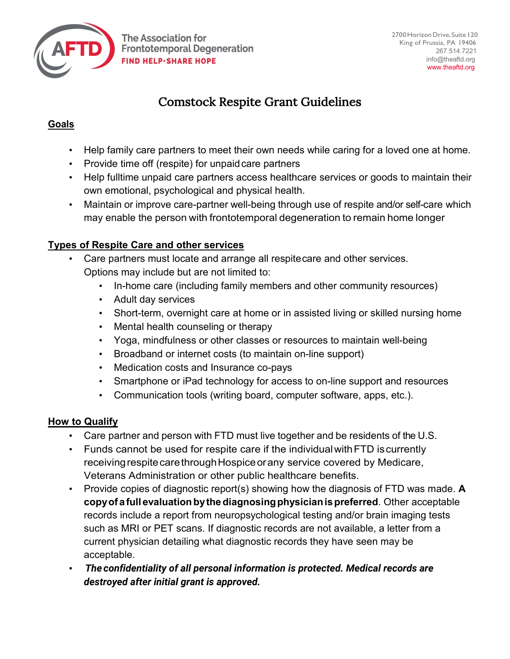

## Comstock Respite Grant Guidelines

#### **Goals**

- Help family care partners to meet their own needs while caring for a loved one at home.
- Provide time off (respite) for unpaidcare partners
- Help fulltime unpaid care partners access healthcare services or goods to maintain their own emotional, psychological and physical health.
- Maintain or improve care-partner well-being through use of respite and/or self-care which may enable the person with frontotemporal degeneration to remain home longer

## **Types of Respite Care and other services**

- Care partners must locate and arrange all respitecare and other services. Options may include but are not limited to:
	- In-home care (including family members and other community resources)
	- Adult day services
	- Short-term, overnight care at home or in assisted living or skilled nursing home
	- Mental health counseling or therapy
	- Yoga, mindfulness or other classes or resources to maintain well-being
	- Broadband or internet costs (to maintain on-line support)
	- Medication costs and Insurance co-pays
	- Smartphone or iPad technology for access to on-line support and resources
	- Communication tools (writing board, computer software, apps, etc.).

## **How to Qualify**

- Care partner and person with FTD must live together and be residents of the U.S.
- Funds cannot be used for respite care if the individualwithFTD iscurrently receiving respite care through Hospice or any service covered by Medicare, Veterans Administration or other public healthcare benefits.
- Provide copies of diagnostic report(s) showing how the diagnosis of FTD was made. **A copyof a full evaluationbythediagnosingphysicianispreferred**. Other acceptable records include a report from neuropsychological testing and/or brain imaging tests such as MRI or PET scans. If diagnostic records are not available, a letter from a current physician detailing what diagnostic records they have seen may be acceptable.
- *The confidentiality of all personal information is protected. Medical records are destroyed after initial grant is approved.*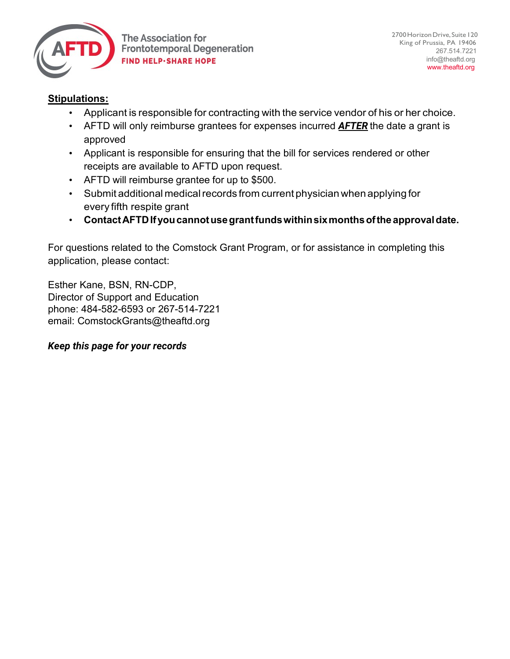

#### **Stipulations:**

- Applicant is responsible for contracting with the service vendor of his or her choice.
- AFTD will only reimburse grantees for expenses incurred *AFTER* the date a grant is approved
- Applicant is responsible for ensuring that the bill for services rendered or other receipts are available to AFTD upon request.
- AFTD will reimburse grantee for up to \$500.
- Submit additional medical records from current physician when applying for every fifth respite grant
- **ContactAFTDIfyoucannotusegrant fundswithinsixmonthsoftheapprovaldate.**

For questions related to the Comstock Grant Program, or for assistance in completing this application, please contact:

Esther Kane, BSN, RN-CDP, Director of Support and Education phone[: 484-582-6593 or 267-](mailto:msharp@theaftd.org)514-7221 email: ComstockGrants@theaftd.org

#### *Keep this page for your records*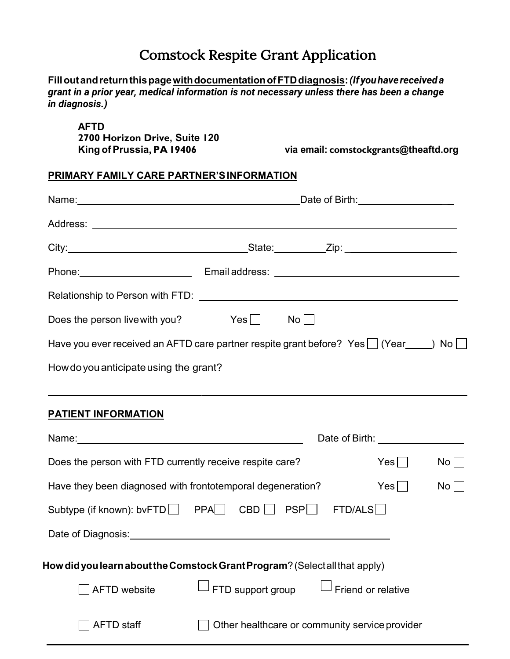# Comstock Respite Grant Application

**FilloutandreturnthispagewithdocumentationofFTDdiagnosis:** *(Ifyouhavereceiveda grant in a prior year, medical information is not necessary unless there has been a change in diagnosis.)*

**AFTD 2700 Horizon Drive, Suite 120**

**King ofPrussia, PA 19406 via email: [comstockgrants](mailto:msharp@theaftd.org)@theaftd.org** 

#### **PRIMARY FAMILY CARE PARTNER'SINFORMATION**

|                                                                                                   | Date of Birth:___________________              |  |                    |      |
|---------------------------------------------------------------------------------------------------|------------------------------------------------|--|--------------------|------|
|                                                                                                   |                                                |  |                    |      |
|                                                                                                   |                                                |  |                    |      |
|                                                                                                   |                                                |  |                    |      |
|                                                                                                   |                                                |  |                    |      |
| Does the person live with you? Yes No                                                             |                                                |  |                    |      |
| Have you ever received an AFTD care partner respite grant before? Yes $\Box$ (Year____) No $\Box$ |                                                |  |                    |      |
| How do you anticipate using the grant?                                                            |                                                |  |                    |      |
|                                                                                                   |                                                |  |                    |      |
| <u>PATIENT INFORMATION</u>                                                                        |                                                |  |                    |      |
|                                                                                                   | Date of Birth: _________________               |  |                    |      |
| Does the person with FTD currently receive respite care?                                          |                                                |  | $\sf Yes$ $\Box$   | No   |
| Have they been diagnosed with frontotemporal degeneration?                                        |                                                |  | Yes                | $No$ |
| Subtype (if known): bvFTD PPA CBD PSP FTD/ALS                                                     |                                                |  |                    |      |
| Date of Diagnosis: <u>contract and a series of Diagnosis:</u>                                     |                                                |  |                    |      |
| How did you learn about the Comstock Grant Program? (Select all that apply)                       |                                                |  |                    |      |
| <b>AFTD</b> website                                                                               | FTD support group                              |  | Friend or relative |      |
| <b>AFTD</b> staff                                                                                 | Other healthcare or community service provider |  |                    |      |